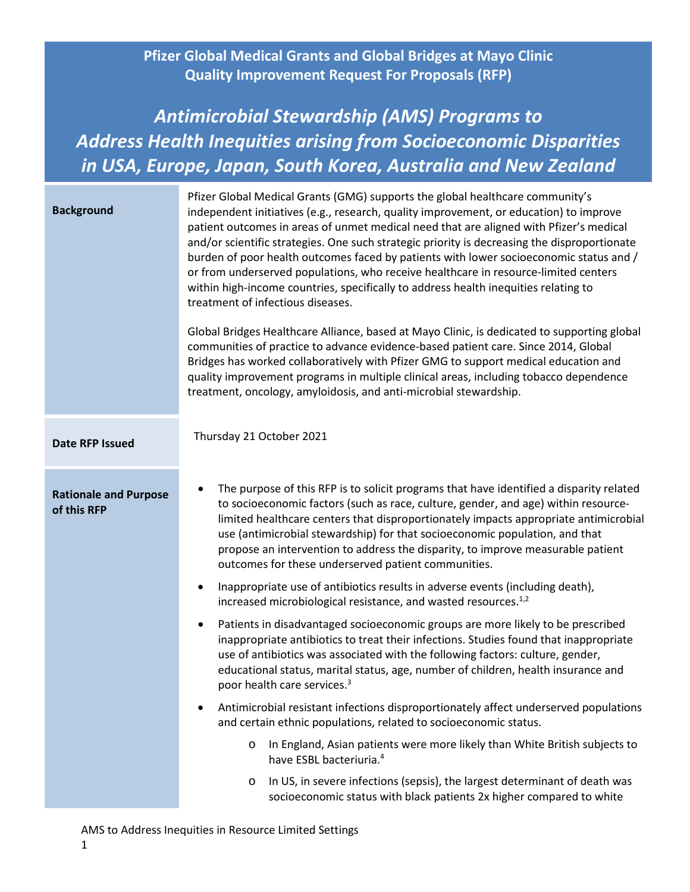**Pfizer Global Medical Grants and Global Bridges at Mayo Clinic Quality Improvement Request For Proposals (RFP)**

# *Antimicrobial Stewardship (AMS) Programs to Address Health Inequities arising from Socioeconomic Disparities in USA, Europe, Japan, South Korea, Australia and New Zealand*

| <b>Background</b>                           | Pfizer Global Medical Grants (GMG) supports the global healthcare community's<br>independent initiatives (e.g., research, quality improvement, or education) to improve<br>patient outcomes in areas of unmet medical need that are aligned with Pfizer's medical<br>and/or scientific strategies. One such strategic priority is decreasing the disproportionate<br>burden of poor health outcomes faced by patients with lower socioeconomic status and /<br>or from underserved populations, who receive healthcare in resource-limited centers<br>within high-income countries, specifically to address health inequities relating to<br>treatment of infectious diseases.<br>Global Bridges Healthcare Alliance, based at Mayo Clinic, is dedicated to supporting global<br>communities of practice to advance evidence-based patient care. Since 2014, Global<br>Bridges has worked collaboratively with Pfizer GMG to support medical education and<br>quality improvement programs in multiple clinical areas, including tobacco dependence<br>treatment, oncology, amyloidosis, and anti-microbial stewardship. |
|---------------------------------------------|--------------------------------------------------------------------------------------------------------------------------------------------------------------------------------------------------------------------------------------------------------------------------------------------------------------------------------------------------------------------------------------------------------------------------------------------------------------------------------------------------------------------------------------------------------------------------------------------------------------------------------------------------------------------------------------------------------------------------------------------------------------------------------------------------------------------------------------------------------------------------------------------------------------------------------------------------------------------------------------------------------------------------------------------------------------------------------------------------------------------------|
| <b>Date RFP Issued</b>                      | Thursday 21 October 2021                                                                                                                                                                                                                                                                                                                                                                                                                                                                                                                                                                                                                                                                                                                                                                                                                                                                                                                                                                                                                                                                                                 |
| <b>Rationale and Purpose</b><br>of this RFP | The purpose of this RFP is to solicit programs that have identified a disparity related<br>to socioeconomic factors (such as race, culture, gender, and age) within resource-<br>limited healthcare centers that disproportionately impacts appropriate antimicrobial<br>use (antimicrobial stewardship) for that socioeconomic population, and that<br>propose an intervention to address the disparity, to improve measurable patient<br>outcomes for these underserved patient communities.                                                                                                                                                                                                                                                                                                                                                                                                                                                                                                                                                                                                                           |
|                                             | Inappropriate use of antibiotics results in adverse events (including death),<br>$\bullet$<br>increased microbiological resistance, and wasted resources. <sup>1,2</sup>                                                                                                                                                                                                                                                                                                                                                                                                                                                                                                                                                                                                                                                                                                                                                                                                                                                                                                                                                 |
|                                             | Patients in disadvantaged socioeconomic groups are more likely to be prescribed<br>$\bullet$<br>inappropriate antibiotics to treat their infections. Studies found that inappropriate<br>use of antibiotics was associated with the following factors: culture, gender,<br>educational status, marital status, age, number of children, health insurance and<br>poor health care services. <sup>3</sup>                                                                                                                                                                                                                                                                                                                                                                                                                                                                                                                                                                                                                                                                                                                  |
|                                             | Antimicrobial resistant infections disproportionately affect underserved populations<br>$\bullet$<br>and certain ethnic populations, related to socioeconomic status.                                                                                                                                                                                                                                                                                                                                                                                                                                                                                                                                                                                                                                                                                                                                                                                                                                                                                                                                                    |
|                                             | In England, Asian patients were more likely than White British subjects to<br>O<br>have ESBL bacteriuria. <sup>4</sup>                                                                                                                                                                                                                                                                                                                                                                                                                                                                                                                                                                                                                                                                                                                                                                                                                                                                                                                                                                                                   |
|                                             | In US, in severe infections (sepsis), the largest determinant of death was<br>$\circ$<br>socioeconomic status with black patients 2x higher compared to white                                                                                                                                                                                                                                                                                                                                                                                                                                                                                                                                                                                                                                                                                                                                                                                                                                                                                                                                                            |

AMS to Address Inequities in Resource Limited Settings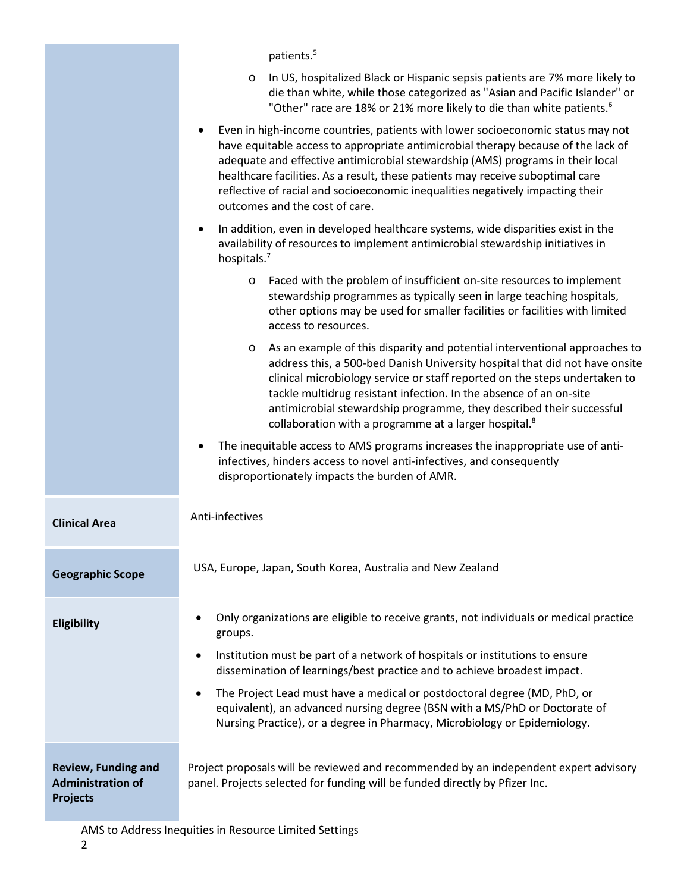|                                                                           | patients. <sup>5</sup>                                                                                                                                                                                                                                                                                                                                                                                                                                                |
|---------------------------------------------------------------------------|-----------------------------------------------------------------------------------------------------------------------------------------------------------------------------------------------------------------------------------------------------------------------------------------------------------------------------------------------------------------------------------------------------------------------------------------------------------------------|
|                                                                           | In US, hospitalized Black or Hispanic sepsis patients are 7% more likely to<br>$\circ$<br>die than white, while those categorized as "Asian and Pacific Islander" or<br>"Other" race are 18% or 21% more likely to die than white patients. <sup>6</sup>                                                                                                                                                                                                              |
|                                                                           | Even in high-income countries, patients with lower socioeconomic status may not<br>have equitable access to appropriate antimicrobial therapy because of the lack of<br>adequate and effective antimicrobial stewardship (AMS) programs in their local<br>healthcare facilities. As a result, these patients may receive suboptimal care<br>reflective of racial and socioeconomic inequalities negatively impacting their<br>outcomes and the cost of care.          |
|                                                                           | In addition, even in developed healthcare systems, wide disparities exist in the<br>availability of resources to implement antimicrobial stewardship initiatives in<br>hospitals. <sup>7</sup>                                                                                                                                                                                                                                                                        |
|                                                                           | Faced with the problem of insufficient on-site resources to implement<br>$\circ$<br>stewardship programmes as typically seen in large teaching hospitals,<br>other options may be used for smaller facilities or facilities with limited<br>access to resources.                                                                                                                                                                                                      |
|                                                                           | As an example of this disparity and potential interventional approaches to<br>$\circ$<br>address this, a 500-bed Danish University hospital that did not have onsite<br>clinical microbiology service or staff reported on the steps undertaken to<br>tackle multidrug resistant infection. In the absence of an on-site<br>antimicrobial stewardship programme, they described their successful<br>collaboration with a programme at a larger hospital. <sup>8</sup> |
|                                                                           | The inequitable access to AMS programs increases the inappropriate use of anti-<br>infectives, hinders access to novel anti-infectives, and consequently<br>disproportionately impacts the burden of AMR.                                                                                                                                                                                                                                                             |
| <b>Clinical Area</b>                                                      | Anti-infectives                                                                                                                                                                                                                                                                                                                                                                                                                                                       |
| <b>Geographic Scope</b>                                                   | USA, Europe, Japan, South Korea, Australia and New Zealand                                                                                                                                                                                                                                                                                                                                                                                                            |
| <b>Eligibility</b>                                                        | Only organizations are eligible to receive grants, not individuals or medical practice<br>groups.                                                                                                                                                                                                                                                                                                                                                                     |
|                                                                           | Institution must be part of a network of hospitals or institutions to ensure<br>$\bullet$<br>dissemination of learnings/best practice and to achieve broadest impact.                                                                                                                                                                                                                                                                                                 |
|                                                                           | The Project Lead must have a medical or postdoctoral degree (MD, PhD, or<br>$\bullet$<br>equivalent), an advanced nursing degree (BSN with a MS/PhD or Doctorate of<br>Nursing Practice), or a degree in Pharmacy, Microbiology or Epidemiology.                                                                                                                                                                                                                      |
| <b>Review, Funding and</b><br><b>Administration of</b><br><b>Projects</b> | Project proposals will be reviewed and recommended by an independent expert advisory<br>panel. Projects selected for funding will be funded directly by Pfizer Inc.                                                                                                                                                                                                                                                                                                   |

AMS to Address Inequities in Resource Limited Settings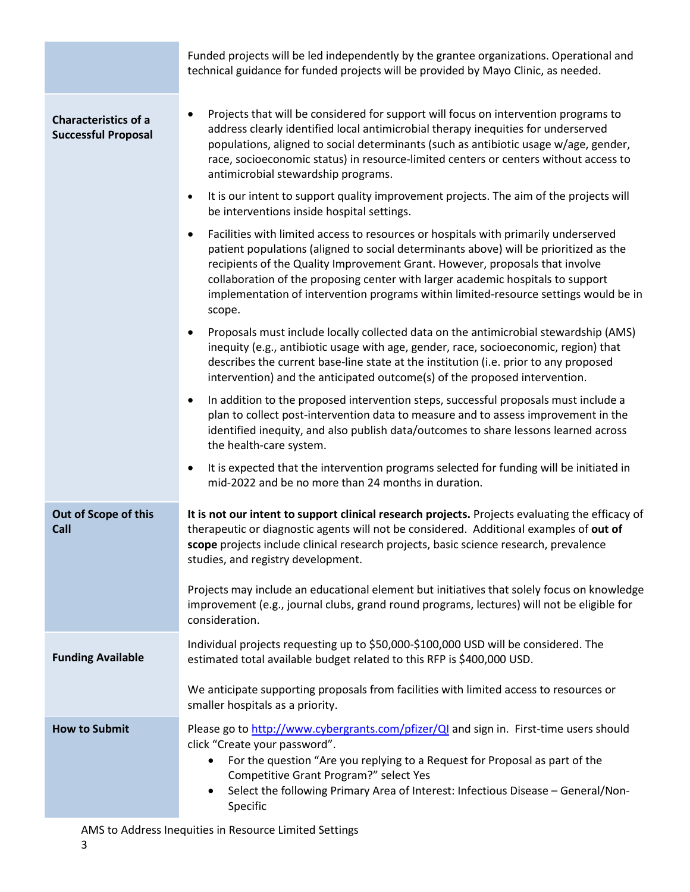Funded projects will be led independently by the grantee organizations. Operational and technical guidance for funded projects will be provided by Mayo Clinic, as needed.

| <b>Characteristics of a</b><br><b>Successful Proposal</b> | Projects that will be considered for support will focus on intervention programs to<br>address clearly identified local antimicrobial therapy inequities for underserved<br>populations, aligned to social determinants (such as antibiotic usage w/age, gender,<br>race, socioeconomic status) in resource-limited centers or centers without access to<br>antimicrobial stewardship programs.                                                   |
|-----------------------------------------------------------|---------------------------------------------------------------------------------------------------------------------------------------------------------------------------------------------------------------------------------------------------------------------------------------------------------------------------------------------------------------------------------------------------------------------------------------------------|
|                                                           | It is our intent to support quality improvement projects. The aim of the projects will<br>$\bullet$<br>be interventions inside hospital settings.                                                                                                                                                                                                                                                                                                 |
|                                                           | Facilities with limited access to resources or hospitals with primarily underserved<br>patient populations (aligned to social determinants above) will be prioritized as the<br>recipients of the Quality Improvement Grant. However, proposals that involve<br>collaboration of the proposing center with larger academic hospitals to support<br>implementation of intervention programs within limited-resource settings would be in<br>scope. |
|                                                           | Proposals must include locally collected data on the antimicrobial stewardship (AMS)<br>inequity (e.g., antibiotic usage with age, gender, race, socioeconomic, region) that<br>describes the current base-line state at the institution (i.e. prior to any proposed<br>intervention) and the anticipated outcome(s) of the proposed intervention.                                                                                                |
|                                                           | In addition to the proposed intervention steps, successful proposals must include a<br>plan to collect post-intervention data to measure and to assess improvement in the<br>identified inequity, and also publish data/outcomes to share lessons learned across<br>the health-care system.                                                                                                                                                       |
|                                                           | It is expected that the intervention programs selected for funding will be initiated in<br>$\bullet$<br>mid-2022 and be no more than 24 months in duration.                                                                                                                                                                                                                                                                                       |
| Out of Scope of this<br>Call                              | It is not our intent to support clinical research projects. Projects evaluating the efficacy of<br>therapeutic or diagnostic agents will not be considered. Additional examples of out of<br>scope projects include clinical research projects, basic science research, prevalence<br>studies, and registry development.                                                                                                                          |
|                                                           | Projects may include an educational element but initiatives that solely focus on knowledge<br>improvement (e.g., journal clubs, grand round programs, lectures) will not be eligible for<br>consideration.                                                                                                                                                                                                                                        |
| <b>Funding Available</b>                                  | Individual projects requesting up to \$50,000-\$100,000 USD will be considered. The<br>estimated total available budget related to this RFP is \$400,000 USD.                                                                                                                                                                                                                                                                                     |
|                                                           | We anticipate supporting proposals from facilities with limited access to resources or<br>smaller hospitals as a priority.                                                                                                                                                                                                                                                                                                                        |
| <b>How to Submit</b>                                      | Please go to http://www.cybergrants.com/pfizer/QI and sign in. First-time users should<br>click "Create your password".<br>For the question "Are you replying to a Request for Proposal as part of the<br>$\bullet$<br>Competitive Grant Program?" select Yes<br>Select the following Primary Area of Interest: Infectious Disease - General/Non-<br>٠                                                                                            |
|                                                           | Specific                                                                                                                                                                                                                                                                                                                                                                                                                                          |

AMS to Address Inequities in Resource Limited Settings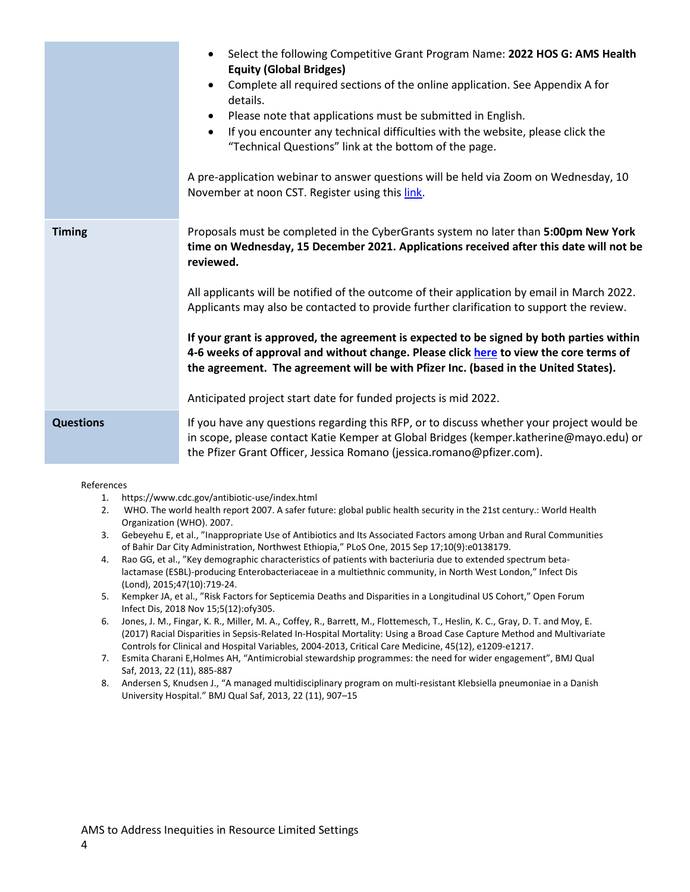|                  | Select the following Competitive Grant Program Name: 2022 HOS G: AMS Health<br>$\bullet$<br><b>Equity (Global Bridges)</b><br>Complete all required sections of the online application. See Appendix A for<br>$\bullet$<br>details.<br>Please note that applications must be submitted in English.<br>$\bullet$<br>If you encounter any technical difficulties with the website, please click the<br>$\bullet$<br>"Technical Questions" link at the bottom of the page.<br>A pre-application webinar to answer questions will be held via Zoom on Wednesday, 10<br>November at noon CST. Register using this link. |
|------------------|--------------------------------------------------------------------------------------------------------------------------------------------------------------------------------------------------------------------------------------------------------------------------------------------------------------------------------------------------------------------------------------------------------------------------------------------------------------------------------------------------------------------------------------------------------------------------------------------------------------------|
| <b>Timing</b>    | Proposals must be completed in the CyberGrants system no later than 5:00pm New York<br>time on Wednesday, 15 December 2021. Applications received after this date will not be<br>reviewed.                                                                                                                                                                                                                                                                                                                                                                                                                         |
|                  | All applicants will be notified of the outcome of their application by email in March 2022.<br>Applicants may also be contacted to provide further clarification to support the review.                                                                                                                                                                                                                                                                                                                                                                                                                            |
|                  | If your grant is approved, the agreement is expected to be signed by both parties within<br>4-6 weeks of approval and without change. Please click here to view the core terms of<br>the agreement. The agreement will be with Pfizer Inc. (based in the United States).                                                                                                                                                                                                                                                                                                                                           |
|                  | Anticipated project start date for funded projects is mid 2022.                                                                                                                                                                                                                                                                                                                                                                                                                                                                                                                                                    |
| <b>Questions</b> | If you have any questions regarding this RFP, or to discuss whether your project would be<br>in scope, please contact Katie Kemper at Global Bridges (kemper.katherine@mayo.edu) or<br>the Pfizer Grant Officer, Jessica Romano (jessica.romano@pfizer.com).                                                                                                                                                                                                                                                                                                                                                       |

#### References

- 1. https://www.cdc.gov/antibiotic-use/index.html
- 2. WHO. The world health report 2007. A safer future: global public health security in the 21st century.: World Health Organization (WHO). 2007.
- 3. Gebeyehu E, et al., "Inappropriate Use of Antibiotics and Its Associated Factors among Urban and Rural Communities of Bahir Dar City Administration, Northwest Ethiopia," PLoS One, 2015 Sep 17;10(9):e0138179.
- 4. Rao GG, et al., "Key demographic characteristics of patients with bacteriuria due to extended spectrum betalactamase (ESBL)-producing Enterobacteriaceae in a multiethnic community, in North West London," Infect Dis (Lond), 2015;47(10):719-24.
- 5. Kempker JA, et al., "Risk Factors for Septicemia Deaths and Disparities in a Longitudinal US Cohort," Open Forum Infect Dis, 2018 Nov 15;5(12):ofy305.
- 6. Jones, J. M., Fingar, K. R., Miller, M. A., Coffey, R., Barrett, M., Flottemesch, T., Heslin, K. C., Gray, D. T. and Moy, E. (2017) Racial Disparities in Sepsis-Related In-Hospital Mortality: Using a Broad Case Capture Method and Multivariate Controls for Clinical and Hospital Variables, 2004-2013, Critical Care Medicine, 45(12), e1209-e1217.
- 7. Esmita Charani E,Holmes AH, ["Antimicrobial stewardship programmes: the need for wider engagement"](https://qualitysafety-bmj-com.eu1.proxy.openathens.net/content/22/11/885), BMJ Qual Saf, 2013, 22 (11), 885-887
- 8. Andersen S, Knudsen J., "A managed multidisciplinary program on multi-resistant Klebsiella pneumoniae in a Danish University Hospital." BMJ Qual Saf, 2013, 22 (11), 907–15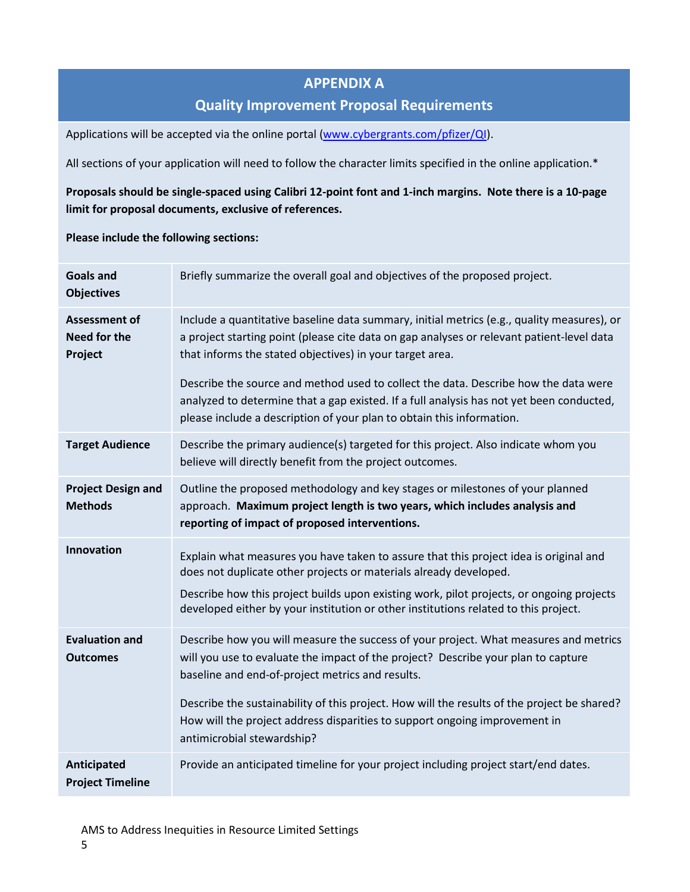## **APPENDIX A**

### **Quality Improvement Proposal Requirements**

Applications will be accepted via the online portal [\(www.cybergrants.com/pfizer/QI\)](http://www.cybergrants.com/pfizer/QI).

All sections of your application will need to follow the character limits specified in the online application.\*

#### **Proposals should be single-spaced using Calibri 12-point font and 1-inch margins. Note there is a 10-page limit for proposal documents, exclusive of references.**

#### **Please include the following sections:**

| <b>Goals and</b><br><b>Objectives</b>                  | Briefly summarize the overall goal and objectives of the proposed project.                                                                                                                                                                                                                                                                    |
|--------------------------------------------------------|-----------------------------------------------------------------------------------------------------------------------------------------------------------------------------------------------------------------------------------------------------------------------------------------------------------------------------------------------|
| <b>Assessment of</b><br><b>Need for the</b><br>Project | Include a quantitative baseline data summary, initial metrics (e.g., quality measures), or<br>a project starting point (please cite data on gap analyses or relevant patient-level data<br>that informs the stated objectives) in your target area.                                                                                           |
|                                                        | Describe the source and method used to collect the data. Describe how the data were<br>analyzed to determine that a gap existed. If a full analysis has not yet been conducted,<br>please include a description of your plan to obtain this information.                                                                                      |
| <b>Target Audience</b>                                 | Describe the primary audience(s) targeted for this project. Also indicate whom you<br>believe will directly benefit from the project outcomes.                                                                                                                                                                                                |
| <b>Project Design and</b><br><b>Methods</b>            | Outline the proposed methodology and key stages or milestones of your planned<br>approach. Maximum project length is two years, which includes analysis and<br>reporting of impact of proposed interventions.                                                                                                                                 |
| Innovation                                             | Explain what measures you have taken to assure that this project idea is original and<br>does not duplicate other projects or materials already developed.<br>Describe how this project builds upon existing work, pilot projects, or ongoing projects<br>developed either by your institution or other institutions related to this project. |
| <b>Evaluation and</b><br><b>Outcomes</b>               | Describe how you will measure the success of your project. What measures and metrics<br>will you use to evaluate the impact of the project? Describe your plan to capture<br>baseline and end-of-project metrics and results.                                                                                                                 |
|                                                        | Describe the sustainability of this project. How will the results of the project be shared?<br>How will the project address disparities to support ongoing improvement in<br>antimicrobial stewardship?                                                                                                                                       |
| Anticipated<br><b>Project Timeline</b>                 | Provide an anticipated timeline for your project including project start/end dates.                                                                                                                                                                                                                                                           |